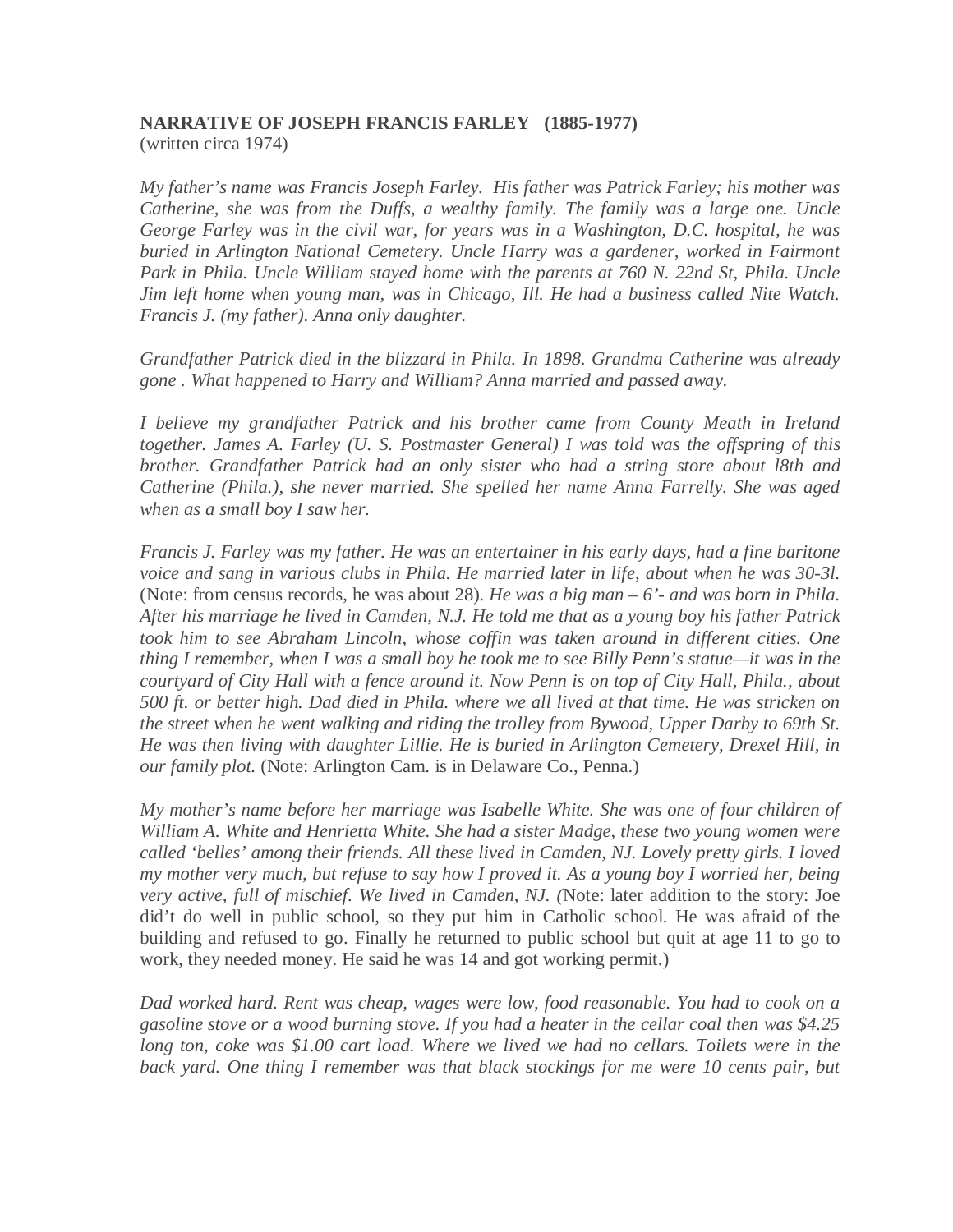## **NARRATIVE OF JOSEPH FRANCIS FARLEY (1885-1977)** (written circa 1974)

*My father's name was Francis Joseph Farley. His father was Patrick Farley; his mother was Catherine, she was from the Duffs, a wealthy family. The family was a large one. Uncle George Farley was in the civil war, for years was in a Washington, D.C. hospital, he was buried in Arlington National Cemetery. Uncle Harry was a gardener, worked in Fairmont Park in Phila. Uncle William stayed home with the parents at 760 N. 22nd St, Phila. Uncle Jim left home when young man, was in Chicago, Ill. He had a business called Nite Watch. Francis J. (my father). Anna only daughter.* 

*Grandfather Patrick died in the blizzard in Phila. In 1898. Grandma Catherine was already gone . What happened to Harry and William? Anna married and passed away.* 

*I believe my grandfather Patrick and his brother came from County Meath in Ireland together. James A. Farley (U. S. Postmaster General) I was told was the offspring of this brother. Grandfather Patrick had an only sister who had a string store about l8th and Catherine (Phila.), she never married. She spelled her name Anna Farrelly. She was aged when as a small boy I saw her.* 

*Francis J. Farley was my father. He was an entertainer in his early days, had a fine baritone voice and sang in various clubs in Phila. He married later in life, about when he was 30-3l.*  (Note: from census records, he was about 28)*. He was a big man – 6'- and was born in Phila. After his marriage he lived in Camden, N.J. He told me that as a young boy his father Patrick took him to see Abraham Lincoln, whose coffin was taken around in different cities. One*  thing I remember, when I was a small boy he took me to see Billy Penn's statue—it was in the courtyard of City Hall with a fence around it. Now Penn is on top of City Hall, Phila., about 500 ft. or better high. Dad died in Phila, where we all lived at that time. He was stricken on *the street when he went walking and riding the trolley from Bywood, Upper Darby to 69th St. He was then living with daughter Lillie. He is buried in Arlington Cemetery, Drexel Hill, in our family plot.* (Note: Arlington Cam. is in Delaware Co., Penna.)

*My mother's name before her marriage was Isabelle White. She was one of four children of William A. White and Henrietta White. She had a sister Madge, these two young women were called 'belles' among their friends. All these lived in Camden, NJ. Lovely pretty girls. I loved*  my mother very much, but refuse to say how I proved it. As a young boy I worried her, being *very active, full of mischief. We lived in Camden, NJ. (*Note: later addition to the story: Joe did't do well in public school, so they put him in Catholic school. He was afraid of the building and refused to go. Finally he returned to public school but quit at age 11 to go to work, they needed money. He said he was 14 and got working permit.)

*Dad worked hard. Rent was cheap, wages were low, food reasonable. You had to cook on a gasoline stove or a wood burning stove. If you had a heater in the cellar coal then was \$4.25 long ton, coke was \$1.00 cart load. Where we lived we had no cellars. Toilets were in the back yard. One thing I remember was that black stockings for me were 10 cents pair, but*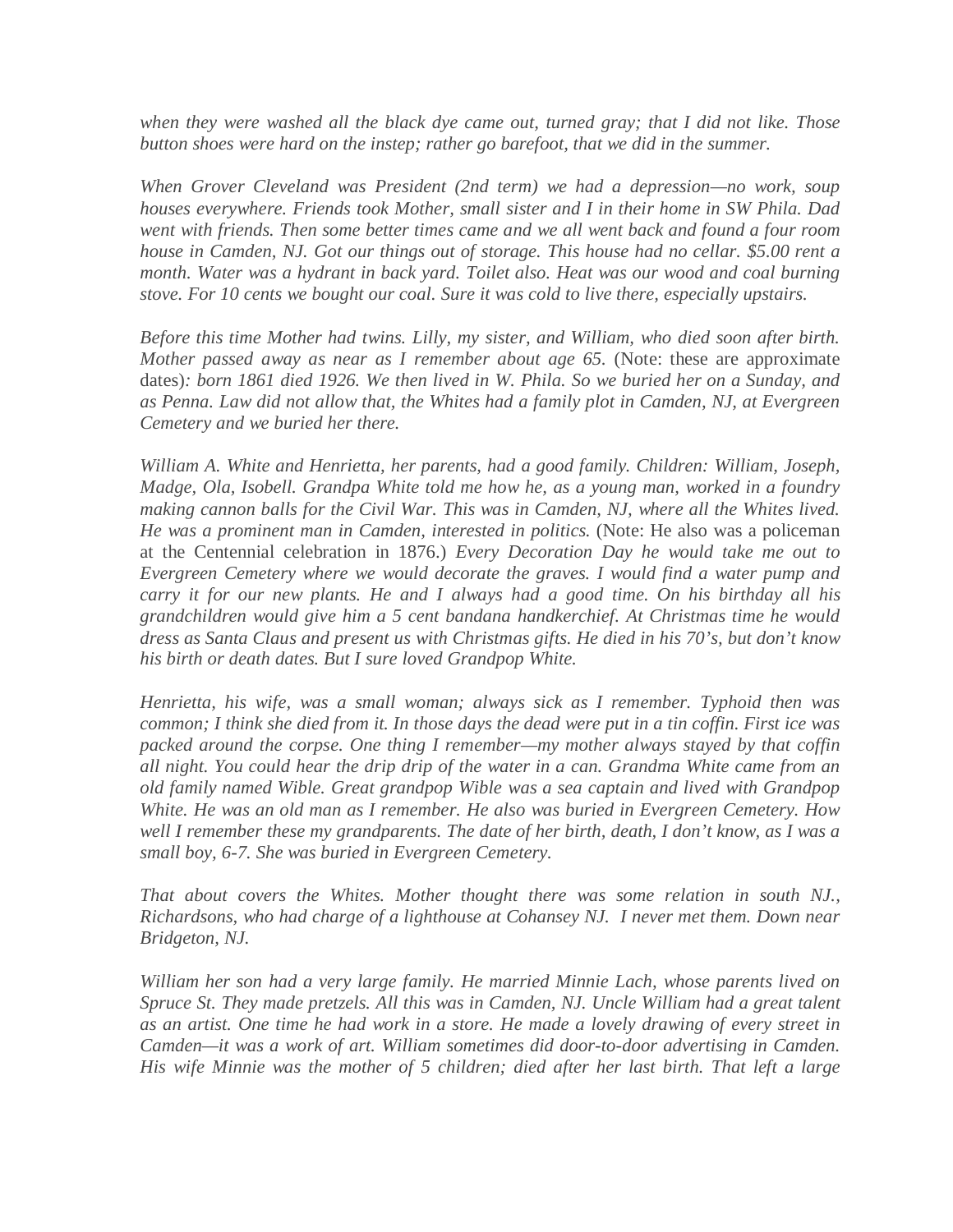*when they were washed all the black dye came out, turned gray; that I did not like. Those button shoes were hard on the instep; rather go barefoot, that we did in the summer.* 

*When Grover Cleveland was President (2nd term) we had a depression—no work, soup houses everywhere. Friends took Mother, small sister and I in their home in SW Phila. Dad went with friends. Then some better times came and we all went back and found a four room house in Camden, NJ. Got our things out of storage. This house had no cellar. \$5.00 rent a month. Water was a hydrant in back yard. Toilet also. Heat was our wood and coal burning stove. For 10 cents we bought our coal. Sure it was cold to live there, especially upstairs.* 

*Before this time Mother had twins. Lilly, my sister, and William, who died soon after birth. Mother passed away as near as I remember about age 65.* (Note: these are approximate dates)*: born 1861 died 1926. We then lived in W. Phila. So we buried her on a Sunday, and as Penna. Law did not allow that, the Whites had a family plot in Camden, NJ, at Evergreen Cemetery and we buried her there.* 

*William A. White and Henrietta, her parents, had a good family. Children: William, Joseph, Madge, Ola, Isobell. Grandpa White told me how he, as a young man, worked in a foundry making cannon balls for the Civil War. This was in Camden, NJ, where all the Whites lived. He was a prominent man in Camden, interested in politics.* (Note: He also was a policeman at the Centennial celebration in 1876.) *Every Decoration Day he would take me out to Evergreen Cemetery where we would decorate the graves. I would find a water pump and carry it for our new plants. He and I always had a good time. On his birthday all his grandchildren would give him a 5 cent bandana handkerchief. At Christmas time he would dress as Santa Claus and present us with Christmas gifts. He died in his 70's, but don't know his birth or death dates. But I sure loved Grandpop White.* 

*Henrietta, his wife, was a small woman; always sick as I remember. Typhoid then was*  common; I think she died from it. In those days the dead were put in a tin coffin. First ice was *packed around the corpse. One thing I remember—my mother always stayed by that coffin all night. You could hear the drip drip of the water in a can. Grandma White came from an old family named Wible. Great grandpop Wible was a sea captain and lived with Grandpop White. He was an old man as I remember. He also was buried in Evergreen Cemetery. How well I remember these my grandparents. The date of her birth, death, I don't know, as I was a small boy, 6-7. She was buried in Evergreen Cemetery.* 

*That about covers the Whites. Mother thought there was some relation in south NJ., Richardsons, who had charge of a lighthouse at Cohansey NJ. I never met them. Down near Bridgeton, NJ.* 

*William her son had a very large family. He married Minnie Lach, whose parents lived on Spruce St. They made pretzels. All this was in Camden, NJ. Uncle William had a great talent*  as an artist. One time he had work in a store. He made a lovely drawing of every street in *Camden—it was a work of art. William sometimes did door-to-door advertising in Camden. His wife Minnie was the mother of 5 children; died after her last birth. That left a large*